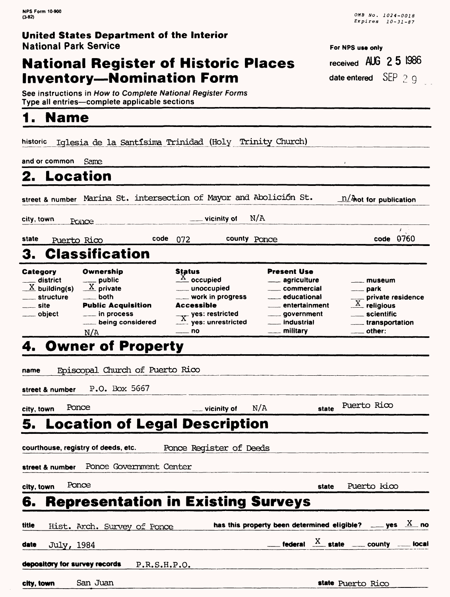### **National Register of Historic Places Inventory--Nomination Form**

**See instructions in How to Complete National Register Forms Type all entries—complete applicable sections** 

# **1. Name**

historic iqlesia de la Santlsima Trinidad (Holy Trinity Church) and or common Same **2. Location\_\_\_\_\_\_\_\_\_\_\_\_\_\_\_\_\_\_** street & number Marina St. intersection of Mayor and Abolición St. **for publication**  $\equiv$  vicinity of N/A city, town  $_{\text{Poi}$ ce  $\mathbf{r}$ code 0760 state Puerto Rico code 072 county Ponce 3. Classification Ownership **Status** Present Use **Category** \_ public  $\frac{X}{X}$  occupied district agriculture museum  $\frac{X}{X}$  private  $\underline{X}$  building(s) unoccupied commercial park private residence structure both **work in progress** educational  $\overline{X}$  religious site Public Acquisition Accessible entertainment  $\overline{X}$  yes: restricted **\_\_ in process** government scientific object  $\stackrel{\curvearrowright}{\dots}$  yes: unrestricted **........** being considered industrial \_transportation <u>\_\_\_\_</u> military  $\equiv$ no  $\equiv$  other: N/A **4. Owner of Property name Episcopal Church of Puerto Rico street & number** P.O. Box 5667 **city, town** Ponce vicinity of N/A **state** Puerto Rico **5. Location of Legal Description courthouse, registry of deeds, etc.** Ponce Register of Deeds **street & number** Ponce Government Center **city, town** Ponce **state** Puerto Kico **6. Representation in Existing Surveys title Hist.** Arch. Survey of Ponce **has this property been determined eligible?**  $\ldots$  yes  $\frac{X}{X}$  no  $\frac{d$  ate July, 1984 **federal**  $\frac{X}{A}$  **state**  $\frac{1}{A}$  county  $\frac{1}{A}$  local **depository for survey records** P.R.S.H.P.O.

**city, town** San Juan **state** Puerto Rico

OMB No. 1024-0018 Expires 10-31-87

**For NPS use only received AUG 2 5 1986 date entered** SEP 2 g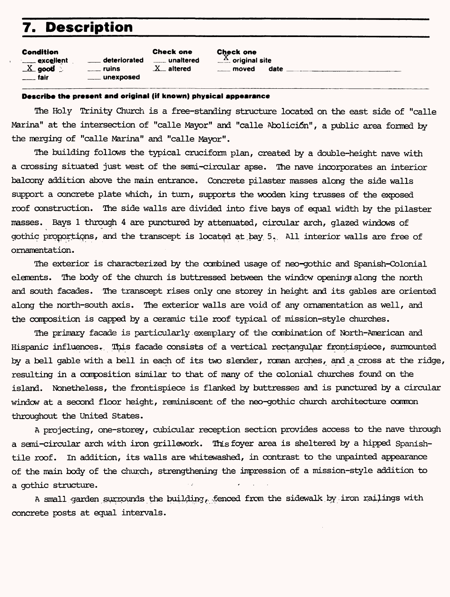### **7. Description**

| Condition        |                    | <b>Check one</b>       | <b>Check one</b>            |      |
|------------------|--------------------|------------------------|-----------------------------|------|
| <b>Excellent</b> | deteriorated       | <u>__</u> __ unaltered | $\frac{X}{X}$ original site |      |
| $X$ good $\ge$   | <u>__</u> __ ruins | $X$ altered            | moved                       | date |
| <u>___</u> fair  | $\equiv$ unexposed |                        |                             |      |

#### **Describe the present and original (if known) physical appearance**

The Holy Trinity Church is a free-standing structure located on the east side of "calle Marina" at the intersection of "calle Mayor" and "calle Abolici6n", a public area formed by the merging of "calle Marina" and "calle Mayor".

The building follows the typical cruciform plan, created by a double-height nave with a crossing situated just west of the semi-circular apse. The nave incorporates an interior balcony addition above the main entrance. Concrete pilaster masses along the side walls support a concrete plate which, in turn, supports the wooden king trusses of the exposed roof construction. The side walls are divided into five bays of equal width by the pilaster masses. Bays 1 through 4 are punctured by attenuated, circular arch, glazed windows of gothic proportions, and the transcept is located at bay 5. All interior walls are free of ornamentation.

The exterior is characterized by the combined usage of neo-gothic and Spanish-Colonial elements. The body of the church is buttressed between the window opening along the north and south facades. The transcept rises only one storey in height and its gables are oriented along the north-south axis. The exterior walls are void of any ornamentation as well, and the composition is capped by a ceramic tile roof typical of mission-style churches.

The primary facade is particularly exemplary of the combination of North-American and Hispanic influences. This facade consists of a vertical rectangular frontispiece, surmounted by a bell gable with a bell in each of its two slender, roman arches, and a cross at the ridge, resulting in a composition similar to that of many of the colonial churches found on the island. Nonetheless, the frontispiece is flanked by buttresses and is punctured by a circular window at a second floor height, reminiscent of the neo-gothic church architecture common throughout the United States.

A projecting, one-storey, cubicular reception section provides access to the nave through a semi-circular arch with iron grillework. This foyer area is sheltered by a hipped Spanishtile roof. In addition, its walls are whitewashed, in contrast to the unpainted appearance of the main body of the church, strengthening the impression of a mission-style addition to a gothic structure.

A small garden surrounds the building, fenced from the sidewalk by iron railings with concrete posts at equal intervals.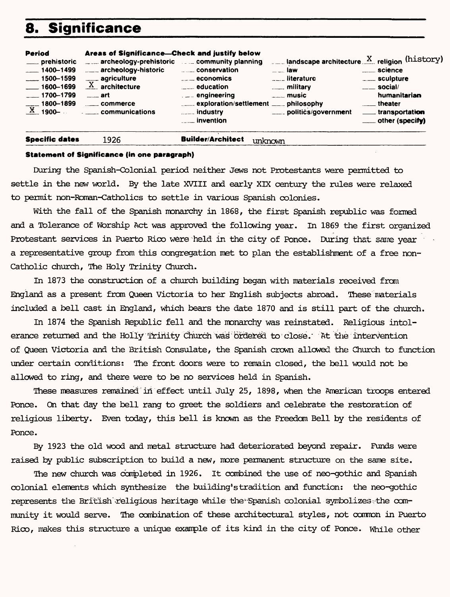### **Significance**

| Period<br>___ prehistoric<br>$-1400 - 1499$<br>$\frac{1500 - 1599}{1500 - 1599}$<br>$-1600 - 1699$<br>$-1700 - 1799$<br>$\frac{1800-1899}{\text{X}1900-}$ | Areas of Significance---Check and justify below<br>archeology-prehistoric community planning<br>archeology-historic <b>Election</b> conservation<br>$\frac{1}{\text{X}}$ agriculture<br>$\frac{1}{2}$ art<br><b>Example 10</b> Commerce | <b>Example 2</b> economics<br>$\frac{1}{2}$ education<br>engineering<br>exploration/settlement _____ philosophy<br>$\frac{1}{2}$ industry | $\ldots$ landscape architecture $X$ religion (history)<br>$\overline{\phantom{a}}$ law<br><b>Electric Literature</b><br><b>Example 1</b> military<br>$---$ music<br>____ politics/government | <u>_</u> ___ science<br>____ sculpture<br>$\equiv$ social/<br>humanitarian<br><u>__</u> _ theater<br>____ transportation |
|-----------------------------------------------------------------------------------------------------------------------------------------------------------|-----------------------------------------------------------------------------------------------------------------------------------------------------------------------------------------------------------------------------------------|-------------------------------------------------------------------------------------------------------------------------------------------|----------------------------------------------------------------------------------------------------------------------------------------------------------------------------------------------|--------------------------------------------------------------------------------------------------------------------------|
|                                                                                                                                                           | communications                                                                                                                                                                                                                          | <b>Example 1</b> invention                                                                                                                |                                                                                                                                                                                              |                                                                                                                          |

#### Specific dates

#### 1926 Builder/Architect unknown

#### **Statement of Significance (in one paragraph)**

During the Spanish-Colonial period neither Jews not Protestants were permitted to settle in the new world. By the late XVIII and early XIX century the rules were relaxed to permit non-Foman-Catholics to settle in various Spanish colonies.

With the fall of the Spanish monarchy in 1868, the first Spanish republic was formed and a Tolerance of Worship Act was approved the following year. In 1869 the first organized Protestant services in Puerto Rico were held in the city of Ponce. During that same year a representative group from this congregation met to plan the establishment of a free non-Catholic church, The Holy Trinity Church.

In 1873 the construction of a church building began with materials received from England as a present from Queen Victoria to her English subjects abroad. These materials included a bell cast in England, which bears the date 1870 and is still part of the church.

In 1874 the Spanish Republic fell and the monarchy was reinstated. Religious intolerance returned and the Holly Trinity diurch wad ordered to close.' &t the intervention of Queen Victoria and the British Consulate, the Spanish crown allowed the Church to function under certain conditions: The front doors were to remain closed, the bell would not be allowed to ring, and there were to be no services held in Spanish.

These measures remained in effect until July 25, 1898, when the American troops entered Ponce. On that day the bell rang to greet the soldiers and celebrate the restoration of religious liberty. Even today, this bell is known as the Freedom Bell by the residents of Ponce.

By 1923 the old wood and metal structure had deteriorated beyond repair. Funds were raised by public subscription to build a new, more permanent structure on the same site.

The new church was completed in 1926. It combined the use of neo-gothic and Spanish colonial elements which synthesize the building's tradition and function: the neo-gothic represents the British religious heritage while the Spanish colonial symbolizes the community it would serve. The combination of these architectural styles, not common in Puerto Rico, makes this structure a unique example of its kind in the city of Ponce. While other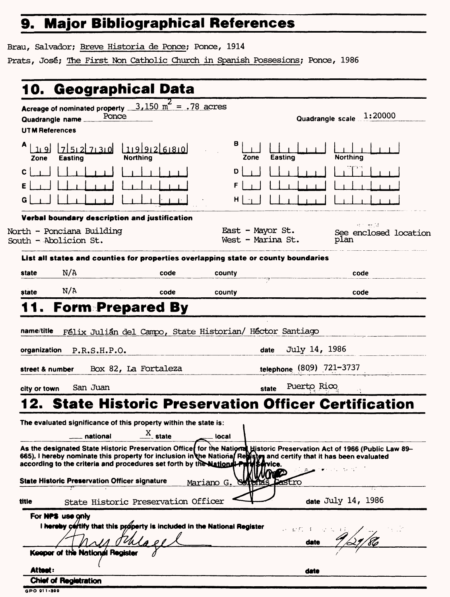## **9. Major Bibliographical References\_\_\_\_\_**

Brau, Salvador; Breve Historia de Ponce; Ponce, 1914

Prats, José; The First Non Catholic Church in Spanish Possesions; Ponce, 1986

| <b>UTM References</b> | Acreage of nominated property __<br>Ponce<br>Quadrangle name_                                       | $3,150 \text{ m}^2 = .78 \text{ acres}$ |                                       |                          | 1:20000<br>Quadrangle scale                                                                                                                                                                                                       |  |
|-----------------------|-----------------------------------------------------------------------------------------------------|-----------------------------------------|---------------------------------------|--------------------------|-----------------------------------------------------------------------------------------------------------------------------------------------------------------------------------------------------------------------------------|--|
| Zone                  | 75.2730<br><b>Easting</b>                                                                           | 1992680<br><b>Northing</b>              | в<br>Zone                             | Easting                  | <b>Northing</b>                                                                                                                                                                                                                   |  |
| с<br>G                |                                                                                                     |                                         | D<br>F<br>н                           |                          |                                                                                                                                                                                                                                   |  |
|                       | Verbal boundary description and justification                                                       |                                         |                                       |                          |                                                                                                                                                                                                                                   |  |
|                       | North - Ponciana Building<br>South - Abolicion St.                                                  |                                         | East - Mayor St.<br>West - Marina St. |                          | 经工业 同<br>See enclosed location<br>plan                                                                                                                                                                                            |  |
|                       | List all states and counties for properties overlapping state or county boundaries                  |                                         |                                       |                          |                                                                                                                                                                                                                                   |  |
| state                 | N/A                                                                                                 | code                                    | county                                |                          | code                                                                                                                                                                                                                              |  |
| state                 | N/A                                                                                                 | code                                    | county                                |                          | code                                                                                                                                                                                                                              |  |
|                       |                                                                                                     |                                         |                                       | telephone (809) 721-3737 |                                                                                                                                                                                                                                   |  |
|                       |                                                                                                     | Box 82, La Fortaleza<br>street & number |                                       |                          |                                                                                                                                                                                                                                   |  |
|                       |                                                                                                     |                                         |                                       |                          |                                                                                                                                                                                                                                   |  |
| city or town          | San Juan                                                                                            |                                         | state                                 | Puerto Rico              |                                                                                                                                                                                                                                   |  |
|                       |                                                                                                     |                                         |                                       |                          | 2. State Historic Preservation Officer Certification                                                                                                                                                                              |  |
|                       | The evaluated significance of this property within the state is:                                    |                                         |                                       |                          |                                                                                                                                                                                                                                   |  |
|                       | national                                                                                            | $X_{\text{state}}$                      | local                                 |                          |                                                                                                                                                                                                                                   |  |
|                       |                                                                                                     |                                         |                                       |                          | As the designated State Historic Preservation Office for the National Historic Preservation Act of 1966 (Public Law 89–<br>665), I hereby nominate this property for inclusion in the National Restand certify that it has been e |  |
|                       | according to the criteria and procedures set forth by the National Puth Service.                    |                                         |                                       |                          |                                                                                                                                                                                                                                   |  |
|                       | <b>State Historic Preservation Officer signature</b>                                                |                                         | Mariano G.                            | astro                    |                                                                                                                                                                                                                                   |  |
| title                 | State Historic Preservation Officer                                                                 |                                         |                                       |                          | date July 14, 1986                                                                                                                                                                                                                |  |
|                       | For <b>NPS</b> use only<br>I hereby certify that this property is included in the National Register |                                         |                                       | 以上の 白 (1)                |                                                                                                                                                                                                                                   |  |
|                       |                                                                                                     |                                         |                                       | date                     |                                                                                                                                                                                                                                   |  |
|                       | Keeper of the National Register                                                                     |                                         |                                       |                          |                                                                                                                                                                                                                                   |  |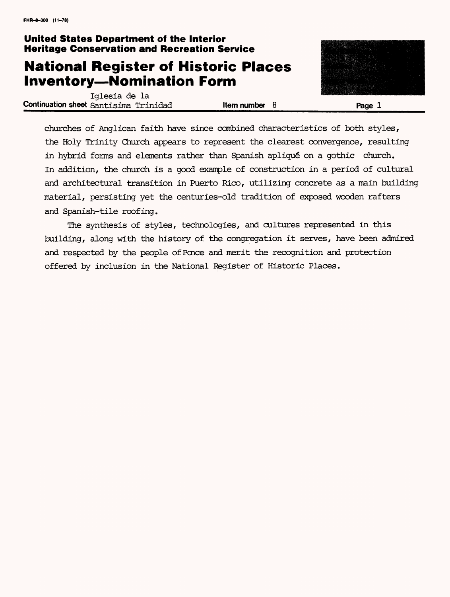### **United States Department of the Interior Heritage Conservation and Recreation Service**

### **National Register of Historic Places Inventory-Nomination Form**

Iglesia de la **Continuation sheet** Santisima Trinidad **and Item number 8 Page 1** 

churches of Anglican faith have since combined characteristics of both styles, the Holy Trinity Church appears to represent the clearest convergence, resulting in hybrid forms and elements rather than Spanish apliqué on a gothic church. In addition, the church is a good example of construction in a period of cultural and architectural transition in Puerto Rico, utilizing concrete as a main building material, persisting yet the centuries-old tradition of exposed wooden rafters and Spanish-tile roofing.

The synthesis of styles, technologies, and cultures represented in this building, along with the history of the congregation it serves, have been admired and respected by the people of Pence and merit the recognition and protection offered by inclusion in the National Register of Historic Places.